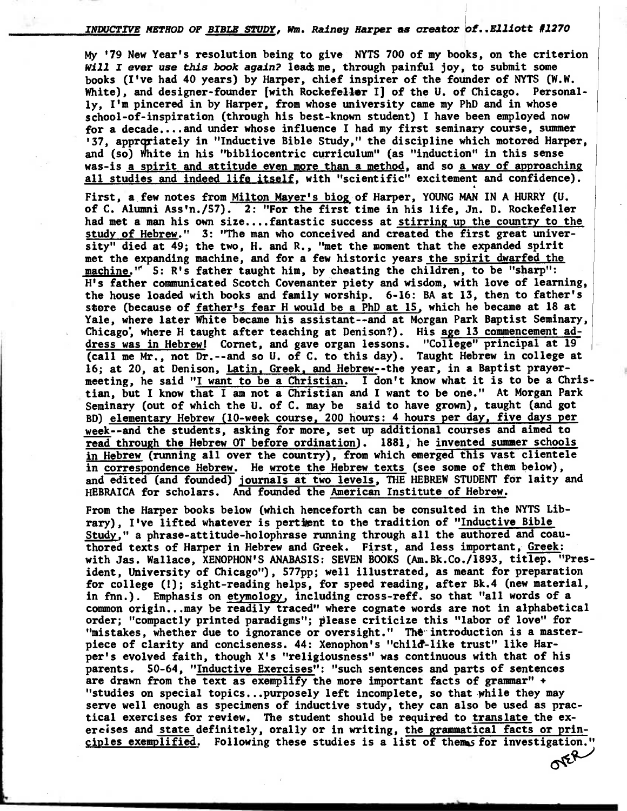**INDUCTIVEMETHOD OF BIBLE STUDY,Nm. Rainey Harper as creator Of—Elliott #1270** 

**My '79 New Year's resolution being to give NYTS 700 of my books, on the criterion will I ever use this book again? lead; me, through painful joy, to submit some books (I've had 40 years) by Harper, chief inspirer of the founder of NYTS (W.W. White), and designer-founder [with Rockefeller I] of the U. of Chicago. Personally, I'm pincered in by Harper, from whose university came my PhD and in whose school-of-inspiration (through his best-known student) I have been employed now for a decade....and under whose influence I had my first seminary course, summer <sup>1</sup> 37, apprgriately in "Inductive Bible Study," the discipline which motored Harper, and (so) White in his "bibliocentric curriculum" (as "induction" in this sense was-is a spirit and attitude even more than a method, and so a way of approaching all studies and indeed life itself, with "scientific" excitement and confidence).** 

**First, a few notes from Milton Mayer's biog of Harper, YOUNG MAN IN A HURRY (U. of C. Alumni Ass'n./57). 2: "For the first time in his life, Jn. D. Rockefeller had met a man his own size....fantastic success at stirring up the country to the study of Hebrew." 3: "The man who conceived and created the first great university" died at 49; the two, H. and R., "met the moment that the expanded spirit met the expanding machine, and for a few historic years the spirit dwarfed the machine." 5: R's father taught him, by cheating the children, to be "sharp": H's father communicated Scotch Covenanter piety and wisdom, with love of learning, the house loaded with books and family worship. 6-16: BA at 13, then to father's**  store (because of father<sup>1</sup>s fear H would be a PhD at 15, which he became at 18 at **Yale, where later White became his assistant--and at Morgan Park Baptist Seminary, Chicago; where H taught after teaching at Denison?). His age 13 commencement address was in Hebrew! Cornet, and gave organ lessons. "College" principal at 19 (call me Mr., not Dr.--and so U. of C. to this day). Taught Hebrew in college at 16; at 20, at Denison, Latin. Greek. and Hebrew--the year, in a Baptist prayermeeting, he said "I want to be a Christian. I don't know what it is to be a Christian, but I know that I am not a Christian and I want to be one." At Morgan Park Seminary (out of which the U. of C. may be said to have grown), taught (and got BD) elementary Hebrew (10-week course, 200 hours: 4 hours per day, five days per week--and the students, asking for more, set up additional courses and aimed to read through the Hebrew OT before ordination). 1881, he invented summer schools in Hebrew (running all over the country), from which emerged this vast clientele in correspondence Hebrew. He wrote the Hebrew texts (see some of them below), and edited (and founded) journals at two levels, THE HEBREW STUDENT for laity and HEBRAICA for scholars. And founded the American Institute of Hebrew.** 

**From the Harper books below (which henceforth can be consulted in the NYTS Library), I've lifted whatever is perthent to the tradition of "Inductive Bible Study," a phrase-attitude-holophrase running through all the authored and coauthored texts of Harper in Hebrew and Greek. First, and less important, Greek: with Jas. Wallace, XENOPHON'S ANABASIS: SEVEN BOOKS (Am.Bk.Co./1893, titlep. "President, University of Chicago"), 577pp; well illustrated, as meant for preparation for college (1); sight-reading helps, for speed reading, after Bk.4 (new material, in fnn.). Emphasis on etymology, including cross-reff. so that "all words of a common origin...may be readily traced" where cognate words are not in alphabetical order; "compactly printed paradigms"; please criticize this "labor of love" for**  "mistakes, whether due to ignorance or oversight." The introduction is a masterpiece of clarity and conciseness. 44: Xenophon's "child-like trust" like Har**per's evolved faith, though X's "religiousness" was continuous with that of his parents. 50-64, "Inductive Exercises": "such sentences and parts of sentences are drawn from the text as exemplify the more important facts of grammar" + "studies on special topics...purposely left incomplete, so that while they may serve well enough as specimens of inductive study, they can also be used as practical exercises for review. The student should be required to translate the exercises and state definitely, orally or in writing, the grammatical facts or principles exemplified.** Following these studies is a list of themas for investigation."  $O^{\xi\xi}$